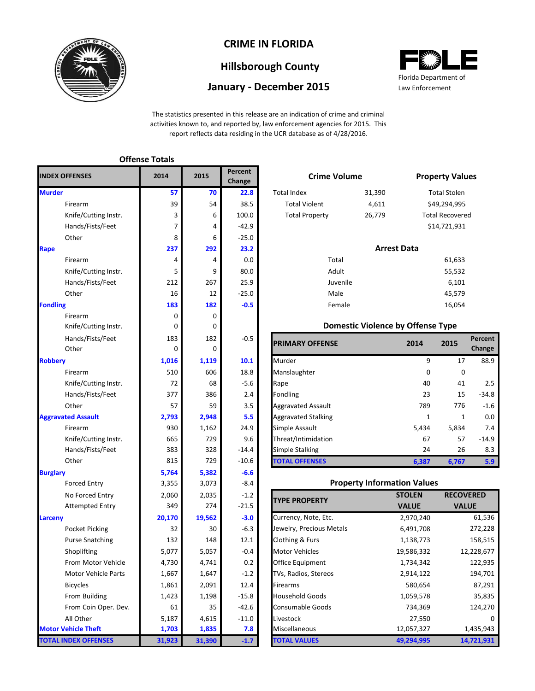

### **CRIME IN FLORIDA**

# **Hillsborough County**

### **January - December 2015**



The statistics presented in this release are an indication of crime and criminal activities known to, and reported by, law enforcement agencies for 2015. This report reflects data residing in the UCR database as of 4/28/2016.

| <b>INDEX OFFENSES</b>       | 2014   | 2015   | Percent<br>Change | <b>Crime Volume</b>        |                                          |                    | <b>Property Val</b> |
|-----------------------------|--------|--------|-------------------|----------------------------|------------------------------------------|--------------------|---------------------|
| <b>Murder</b>               | 57     | 70     | 22.8              | <b>Total Index</b>         | 31,390                                   |                    | <b>Total Stolen</b> |
| Firearm                     | 39     | 54     | 38.5              | <b>Total Violent</b>       | 4,611                                    |                    | \$49,294,995        |
| Knife/Cutting Instr.        | 3      | 6      | 100.0             | <b>Total Property</b>      | 26,779                                   |                    | Total Recover       |
| Hands/Fists/Feet            | 7      | 4      | $-42.9$           |                            |                                          |                    | \$14,721,931        |
| Other                       | 8      | 6      | $-25.0$           |                            |                                          |                    |                     |
| Rape                        | 237    | 292    | 23.2              |                            |                                          | <b>Arrest Data</b> |                     |
| Firearm                     | 4      | 4      | 0.0               | Total                      |                                          |                    | 61,633              |
| Knife/Cutting Instr.        | 5      | 9      | 80.0              | Adult                      |                                          |                    | 55,532              |
| Hands/Fists/Feet            | 212    | 267    | 25.9              | Juvenile                   |                                          |                    | 6,101               |
| Other                       | 16     | 12     | $-25.0$           | Male                       |                                          |                    | 45,579              |
| <b>Fondling</b>             | 183    | 182    | $-0.5$            | Female                     |                                          |                    | 16,054              |
| Firearm                     | 0      | 0      |                   |                            |                                          |                    |                     |
| Knife/Cutting Instr.        | 0      | 0      |                   |                            | <b>Domestic Violence by Offense Type</b> |                    |                     |
| Hands/Fists/Feet            | 183    | 182    | $-0.5$            | <b>PRIMARY OFFENSE</b>     |                                          | 2014               | 2015                |
| Other                       | 0      | 0      |                   |                            |                                          |                    |                     |
| <b>Robbery</b>              | 1,016  | 1,119  | 10.1              | Murder                     |                                          | 9                  | 17                  |
| Firearm                     | 510    | 606    | 18.8              | Manslaughter               |                                          | 0                  | 0                   |
| Knife/Cutting Instr.        | 72     | 68     | $-5.6$            | Rape                       |                                          | 40                 | 41                  |
| Hands/Fists/Feet            | 377    | 386    | 2.4               | Fondling                   |                                          | 23                 | 15                  |
| Other                       | 57     | 59     | 3.5               | <b>Aggravated Assault</b>  |                                          | 789                | 776                 |
| <b>Aggravated Assault</b>   | 2,793  | 2,948  | 5.5               | <b>Aggravated Stalking</b> |                                          | $\mathbf{1}$       | $\mathbf{1}$        |
| Firearm                     | 930    | 1,162  | 24.9              | Simple Assault<br>5,434    |                                          | 5,834              |                     |
| Knife/Cutting Instr.        | 665    | 729    | 9.6               | Threat/Intimidation<br>67  |                                          | 57                 |                     |
| Hands/Fists/Feet            | 383    | 328    | $-14.4$           | Simple Stalking<br>24      |                                          |                    | 26                  |
| Other                       | 815    | 729    | $-10.6$           | <b>TOTAL OFFENSES</b>      |                                          | 6,387              | 6,767               |
| <b>Burglary</b>             | 5,764  | 5,382  | $-6.6$            |                            |                                          |                    |                     |
| <b>Forced Entry</b>         | 3,355  | 3,073  | $-8.4$            |                            | <b>Property Information Values</b>       |                    |                     |
| No Forced Entry             | 2,060  | 2,035  | $-1.2$            | <b>TYPE PROPERTY</b>       |                                          | <b>STOLEN</b>      | <b>RECO</b>         |
| <b>Attempted Entry</b>      | 349    | 274    | -21.5             |                            |                                          | <b>VALUE</b>       | <b>VA</b>           |
| Larceny                     | 20,170 | 19,562 | $-3.0$            | Currency, Note, Etc.       |                                          | 2,970,240          |                     |
| <b>Pocket Picking</b>       | 32     | 30     | $-6.3$            | Jewelry, Precious Metals   |                                          | 6,491,708          |                     |
| <b>Purse Snatching</b>      | 132    | 148    | 12.1              | Clothing & Furs            |                                          | 1,138,773          |                     |
| Shoplifting                 | 5,077  | 5,057  | $-0.4$            | <b>Motor Vehicles</b>      |                                          | 19,586,332         | 1                   |
| From Motor Vehicle          | 4,730  | 4,741  | 0.2               | Office Equipment           |                                          | 1,734,342          |                     |
| Motor Vehicle Parts         | 1,667  | 1,647  | $-1.2$            | TVs, Radios, Stereos       |                                          | 2,914,122          |                     |
| <b>Bicycles</b>             | 1,861  | 2,091  | 12.4              | Firearms                   |                                          | 580,654            |                     |
| From Building               | 1,423  | 1,198  | $-15.8$           | <b>Household Goods</b>     |                                          | 1,059,578          |                     |
| From Coin Oper. Dev.        | 61     | 35     | $-42.6$           | <b>Consumable Goods</b>    |                                          | 734,369            |                     |
| All Other                   | 5,187  | 4,615  | $-11.0$           | Livestock                  |                                          | 27,550             |                     |
| <b>Motor Vehicle Theft</b>  | 1,703  | 1,835  | 7.8               | Miscellaneous              |                                          | 12,057,327         |                     |
| <b>TOTAL INDEX OFFENSES</b> | 31,923 | 31,390 | $-1.7$            | <b>TOTAL VALUES</b>        |                                          | 49,294,995         | $\mathbf{1}$        |

**Offense Totals**

|                | rercent<br>Change |                       | <b>Crime Volume</b> |                        |  |  |
|----------------|-------------------|-----------------------|---------------------|------------------------|--|--|
| 70             | 22.8              | <b>Total Index</b>    | 31,390              | <b>Total Stolen</b>    |  |  |
| 54             | 38.5              | <b>Total Violent</b>  | 4,611               | \$49,294,995           |  |  |
| 6              | 100.0             | <b>Total Property</b> | 26,779              | <b>Total Recovered</b> |  |  |
| $\overline{4}$ | $-42.9$           |                       |                     | \$14,721,931           |  |  |
| 6              | $-25.0$           |                       |                     |                        |  |  |
| 92             | 23.2              |                       | <b>Arrest Data</b>  |                        |  |  |
| $\overline{4}$ | 0.0               |                       | Total               | 61,633                 |  |  |
| 9              | 80.0              |                       | Adult               | 55,532                 |  |  |
| 67             | 25.9              |                       | Juvenile            | 6,101                  |  |  |
| 12             | $-25.0$           |                       | Male                | 45,579                 |  |  |
| 82             | $-0.5$            |                       | Female              | 16,054                 |  |  |

#### **Domestic Violence by Offense Type**

| Hands/Fists/Feet<br>Other | 183<br>0 | 182<br>0 | $-0.5$  | <b>PRIMARY OFFENSE</b>     | 2014     | 2015  | Percent<br>Change |
|---------------------------|----------|----------|---------|----------------------------|----------|-------|-------------------|
|                           | 1,016    | 1,119    | 10.1    | Murder                     | q        | 17    | 88.9              |
| Firearm                   | 510      | 606      | 18.8    | Manslaughter               | $\Omega$ | 0     |                   |
| Knife/Cutting Instr.      | 72       | 68       | $-5.6$  | Rape                       | 40       | 41    | 2.5               |
| Hands/Fists/Feet          | 377      | 386      | 2.4     | Fondling                   | 23       | 15    | $-34.8$           |
| Other                     | 57       | 59       | 3.5     | <b>Aggravated Assault</b>  | 789      | 776   | $-1.6$            |
| ted Assault               | 2,793    | 2,948    | 5.5     | <b>Aggravated Stalking</b> | 1        | 1     | 0.0               |
| Firearm                   | 930      | 1,162    | 24.9    | Simple Assault             | 5,434    | 5,834 | 7.4               |
| Knife/Cutting Instr.      | 665      | 729      | 9.6     | Threat/Intimidation        | 67       | 57    | $-14.9$           |
| Hands/Fists/Feet          | 383      | 328      | $-14.4$ | Simple Stalking            | 24       | 26    | 8.3               |
| Other                     | 815      | 729      | $-10.6$ | <b>TOTAL OFFENSES</b>      | 6,387    | 6,767 | 5.9               |

#### **Property Information Values**

| <b>TYPE PROPERTY</b>     | <b>STOLEN</b> | <b>RECOVERED</b> |
|--------------------------|---------------|------------------|
|                          | <b>VALUE</b>  | <b>VALUE</b>     |
| Currency, Note, Etc.     | 2,970,240     | 61,536           |
| Jewelry, Precious Metals | 6,491,708     | 272,228          |
| Clothing & Furs          | 1,138,773     | 158,515          |
| <b>Motor Vehicles</b>    | 19,586,332    | 12,228,677       |
| <b>Office Equipment</b>  | 1,734,342     | 122,935          |
| TVs, Radios, Stereos     | 2,914,122     | 194,701          |
| <b>Firearms</b>          | 580,654       | 87,291           |
| <b>Household Goods</b>   | 1,059,578     | 35,835           |
| <b>Consumable Goods</b>  | 734,369       | 124,270          |
| Livestock                | 27,550        |                  |
| Miscellaneous            | 12,057,327    | 1,435,943        |
| <b>TOTAL VALUES</b>      | 49,294,995    | 14,721,931       |